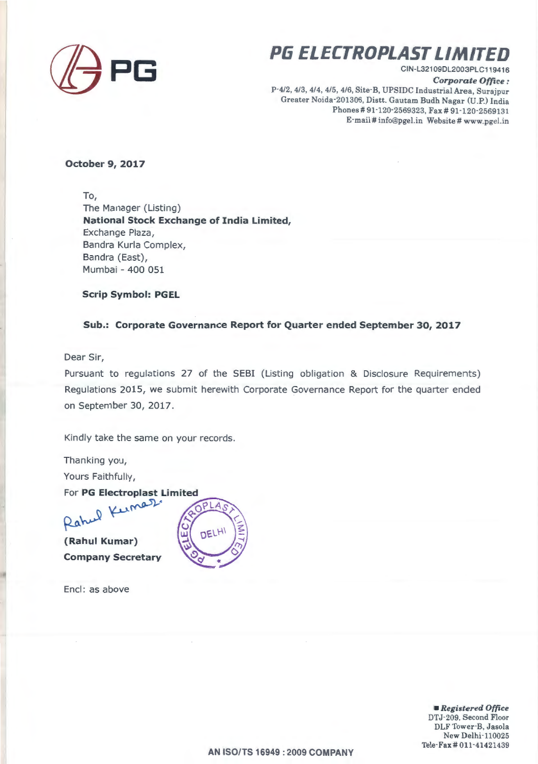

# **PG ELECTROPLAST LIMITED**

CIN-L321 09DL2003PLC119416

*Corporate Office :* 

P-4/2, 4/3, 4/4, 4/5, 4/6, Site-B, UPSIDC Industrial Area, Surajpur Greater Noida-201306, Distt. Gautam Budh Nagar (U.P.) India Phones# 91-120-2569323, Fax# 91-120-2569131 E-mail# info@pgel.in Website# www.pgel.in

#### **October 9, 2017**

To, The Manager (Listing) **National Stock Exchange of India Limited,**  Exchange Plaza, Bandra Kurla Complex, Bandra (East), Mumbai - 400 051

**Scrip Symbol: PGEL** 

### **Sub.: Corporate Governance Report for Quarter ended September 30, 2017**

Dear Sir,

Pursuant to regulations 27 of the SESI (Listing obligation & Disclosure Requirements) Regulations 2015, we submit herewith Corporate Governance Report for the quarter ended on September 30, 2017.

Kindly take the same on your records.

Thanking you, Yours Faithfully,

For PG Electroplast

**(Rahul Kumar) Company Secretary** 

Encl: as above



• *Registered Office*  DTJ-209, Second Floor DLF Tower·B, Jasola New Delhi-110025 Tele· Fax# 011-41421439

**AN ISO/TS 16949 : 2009 COMPANY**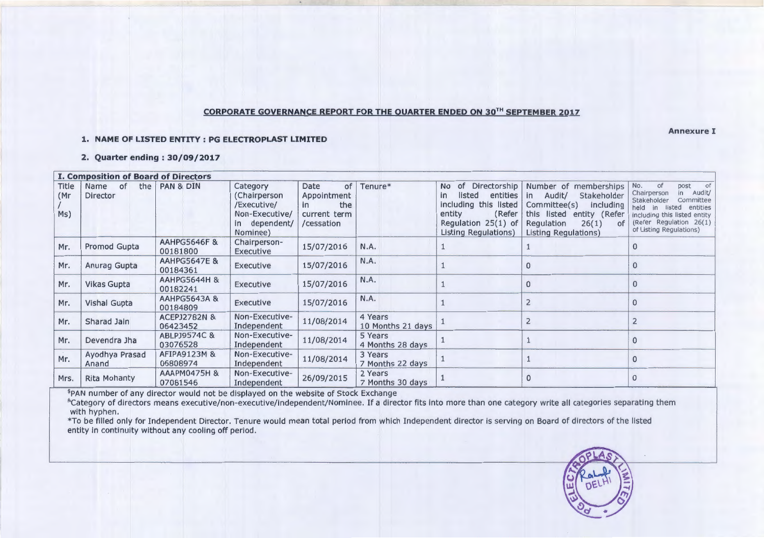### **CORPORATE GOVERNANCE REPORT FOR THE QUARTER ENDED ON 30TH SEPTEMBER 2017**

#### **1. NAME OF LISTED ENTITY : PG ELECTROPLAST LIMITED**

**2. Quarter ending : 30/09/2017** 

| <b>I. Composition of Board of Directors</b> |                               |                                     |                                                                                        |                                                                             |                              |                                                                                                                                            |                                                                                                                                                                                       |                                                                                                                                                                                            |
|---------------------------------------------|-------------------------------|-------------------------------------|----------------------------------------------------------------------------------------|-----------------------------------------------------------------------------|------------------------------|--------------------------------------------------------------------------------------------------------------------------------------------|---------------------------------------------------------------------------------------------------------------------------------------------------------------------------------------|--------------------------------------------------------------------------------------------------------------------------------------------------------------------------------------------|
| Title<br>(Mr)<br>Ms)                        | the<br>Name<br>of<br>Director | PAN & DIN                           | Category<br>(Chairperson<br>/Executive/<br>Non-Executive/<br>in dependent/<br>Nominee) | Date<br>of<br>Appointment<br>the<br><i>in</i><br>current term<br>/cessation | Tenure*                      | of<br><b>No</b><br>entities<br>listed<br>in.<br>including this listed<br>(Refer<br>entity<br>Regulation $25(1)$ of<br>Listing Regulations) | Directorship   Number of memberships<br>Audit/<br>Stakeholder<br>in<br>Committee(s)<br>including<br>this listed<br>entity (Refer<br>26(1)<br>Regulation<br>of<br>Listing Regulations) | of<br>No.<br>post<br>in Audit/<br>Chairperson<br>Stakeholder<br>Committee<br>held in listed entities<br>including this listed entity<br>(Refer Regulation 26(1)<br>of Listing Regulations) |
| Mr.                                         | Promod Gupta                  | <b>AAHPG5646F &amp;</b><br>00181800 | Chairperson-<br>Executive                                                              | 15/07/2016                                                                  | N.A.                         |                                                                                                                                            |                                                                                                                                                                                       | $\mathbf{0}$                                                                                                                                                                               |
| Mr.                                         | Anurag Gupta                  | <b>AAHPG5647E &amp;</b><br>00184361 | Executive                                                                              | 15/07/2016                                                                  | N.A.                         |                                                                                                                                            | $\Omega$                                                                                                                                                                              | $\mathbf{0}$                                                                                                                                                                               |
| Mr.                                         | <b>Vikas Gupta</b>            | <b>AAHPG5644H &amp;</b><br>00182241 | Executive                                                                              | 15/07/2016                                                                  | N.A.                         |                                                                                                                                            | $\mathbf{0}$                                                                                                                                                                          | $\Omega$                                                                                                                                                                                   |
| Mr.                                         | <b>Vishal Gupta</b>           | <b>AAHPG5643A &amp;</b><br>00184809 | Executive                                                                              | 15/07/2016                                                                  | N.A.                         |                                                                                                                                            | $\overline{2}$                                                                                                                                                                        | $\Omega$                                                                                                                                                                                   |
| Mr.                                         | Sharad Jain                   | <b>ACEPJ2782N &amp;</b><br>06423452 | Non-Executive-<br>Independent                                                          | 11/08/2014                                                                  | 4 Years<br>10 Months 21 days |                                                                                                                                            | $\overline{2}$                                                                                                                                                                        |                                                                                                                                                                                            |
| Mr.                                         | Devendra Jha                  | ABLPJ9574C &<br>03076528            | Non-Executive-<br>Independent                                                          | 11/08/2014                                                                  | 5 Years<br>4 Months 28 days  |                                                                                                                                            |                                                                                                                                                                                       | $\mathbf{0}$                                                                                                                                                                               |
| Mr.                                         | Ayodhya Prasad<br>Anand       | AFIPA9123M &<br>06808974            | Non-Executive-<br>Independent                                                          | 11/08/2014                                                                  | 3 Years<br>7 Months 22 days  |                                                                                                                                            |                                                                                                                                                                                       | $\Omega$                                                                                                                                                                                   |
| Mrs.                                        | <b>Rita Mohanty</b>           | <b>AAAPM0475H &amp;</b><br>07081546 | Non-Executive-<br>Independent                                                          | 26/09/2015                                                                  | 2 Years<br>7 Months 30 days  |                                                                                                                                            | $\mathbf{0}$                                                                                                                                                                          | $\mathbf{0}$                                                                                                                                                                               |

\$PAN number of any director would not be displayed on the website of Stock Exchange

&category of directors means executive/non-executive/independent/Nominee. If a director fits into more than one category write all categories separating them with hyphen.

\* To be filled only for Independent Director. Tenure would mean total period from which Independent director is serving on Board of directors of the listed entity in continuity without any cooling off period.

EL ROLLA

**Annexure I**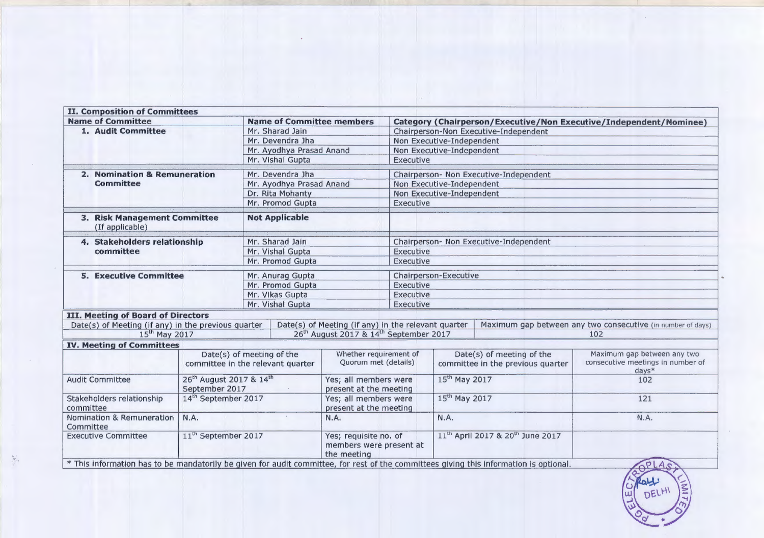| <b>II. Composition of Committees</b>                                                                                                   |                                                                   |                                                                |                                                                 |                                                                    |                                                                |  |                                                                             |  |
|----------------------------------------------------------------------------------------------------------------------------------------|-------------------------------------------------------------------|----------------------------------------------------------------|-----------------------------------------------------------------|--------------------------------------------------------------------|----------------------------------------------------------------|--|-----------------------------------------------------------------------------|--|
| <b>Name of Committee</b>                                                                                                               |                                                                   | <b>Name of Committee members</b>                               |                                                                 | Category (Chairperson/Executive/Non Executive/Independent/Nominee) |                                                                |  |                                                                             |  |
| 1. Audit Committee                                                                                                                     |                                                                   | Mr. Sharad Jain                                                |                                                                 | Chairperson-Non Executive-Independent                              |                                                                |  |                                                                             |  |
|                                                                                                                                        |                                                                   | Mr. Devendra Jha                                               |                                                                 | Non Executive-Independent                                          |                                                                |  |                                                                             |  |
|                                                                                                                                        |                                                                   | Mr. Ayodhya Prasad Anand                                       |                                                                 | Non Executive-Independent                                          |                                                                |  |                                                                             |  |
|                                                                                                                                        |                                                                   | Mr. Vishal Gupta                                               |                                                                 | Executive                                                          |                                                                |  |                                                                             |  |
| 2. Nomination & Remuneration                                                                                                           |                                                                   | Mr. Devendra Jha                                               |                                                                 | Chairperson- Non Executive-Independent                             |                                                                |  |                                                                             |  |
| <b>Committee</b>                                                                                                                       |                                                                   | Mr. Ayodhya Prasad Anand                                       |                                                                 | Non Executive-Independent                                          |                                                                |  |                                                                             |  |
|                                                                                                                                        |                                                                   | Dr. Rita Mohanty                                               |                                                                 | Non Executive-Independent                                          |                                                                |  |                                                                             |  |
|                                                                                                                                        |                                                                   | Mr. Promod Gupta                                               |                                                                 | Executive                                                          |                                                                |  |                                                                             |  |
| 3. Risk Management Committee<br>(If applicable)                                                                                        |                                                                   | <b>Not Applicable</b>                                          |                                                                 |                                                                    |                                                                |  |                                                                             |  |
| 4. Stakeholders relationship                                                                                                           |                                                                   | Mr. Sharad Jain                                                |                                                                 | Chairperson- Non Executive-Independent                             |                                                                |  |                                                                             |  |
| committee                                                                                                                              |                                                                   | Mr. Vishal Gupta                                               |                                                                 | Executive                                                          |                                                                |  |                                                                             |  |
|                                                                                                                                        |                                                                   | Mr. Promod Gupta                                               |                                                                 | Executive                                                          |                                                                |  |                                                                             |  |
| <b>5. Executive Committee</b>                                                                                                          |                                                                   | Mr. Anurag Gupta                                               |                                                                 | Chairperson-Executive                                              |                                                                |  |                                                                             |  |
|                                                                                                                                        |                                                                   | Mr. Promod Gupta                                               |                                                                 | Executive                                                          |                                                                |  |                                                                             |  |
|                                                                                                                                        |                                                                   | Mr. Vikas Gupta                                                |                                                                 | Executive                                                          |                                                                |  |                                                                             |  |
|                                                                                                                                        |                                                                   | Mr. Vishal Gupta                                               |                                                                 | Executive                                                          |                                                                |  |                                                                             |  |
| III. Meeting of Board of Directors                                                                                                     |                                                                   |                                                                |                                                                 |                                                                    |                                                                |  |                                                                             |  |
| Date(s) of Meeting (if any) in the previous quarter                                                                                    |                                                                   | Date(s) of Meeting (if any) in the relevant quarter            |                                                                 |                                                                    | Maximum gap between any two consecutive (in number of days)    |  |                                                                             |  |
| $15th$ May 2017                                                                                                                        |                                                                   | 26 <sup>th</sup> August 2017 & 14 <sup>th</sup> September 2017 |                                                                 |                                                                    |                                                                |  | 102                                                                         |  |
| <b>IV. Meeting of Committees</b>                                                                                                       |                                                                   |                                                                |                                                                 |                                                                    |                                                                |  |                                                                             |  |
|                                                                                                                                        | Date(s) of meeting of the<br>committee in the relevant quarter    |                                                                | Whether requirement of<br>Quorum met (details)                  |                                                                    | Date(s) of meeting of the<br>committee in the previous quarter |  | Maximum gap between any two<br>consecutive meetings in number of<br>$days*$ |  |
| <b>Audit Committee</b>                                                                                                                 | 26 <sup>th</sup> August 2017 & 14 <sup>th</sup><br>September 2017 |                                                                | Yes; all members were<br>present at the meeting                 |                                                                    | 15 <sup>th</sup> May 2017                                      |  | 102                                                                         |  |
| Stakeholders relationship<br>committee                                                                                                 | 14th September 2017                                               |                                                                | Yes; all members were<br>present at the meeting                 |                                                                    | 15 <sup>th</sup> May 2017                                      |  | 121                                                                         |  |
| Nomination & Remuneration<br>N.A.<br>Committee                                                                                         |                                                                   |                                                                | <b>N.A.</b>                                                     |                                                                    | N.A.                                                           |  | N.A.                                                                        |  |
| <b>Executive Committee</b>                                                                                                             | 11 <sup>th</sup> September 2017                                   |                                                                | Yes; requisite no. of<br>members were present at<br>the meeting |                                                                    | 11 <sup>th</sup> April 2017 & 20 <sup>th</sup> June 2017       |  |                                                                             |  |
| * This information has to be mandatorily be given for audit committee, for rest of the committees giving this information is optional. |                                                                   |                                                                |                                                                 |                                                                    |                                                                |  | OPLAS                                                                       |  |

 $\sum_{i=1}^N \alpha_i$ 

# $\sqrt{2}$ ,  $\sqrt{2}$ ,  $\sqrt{2}$ ROLL (BELHI) မြှ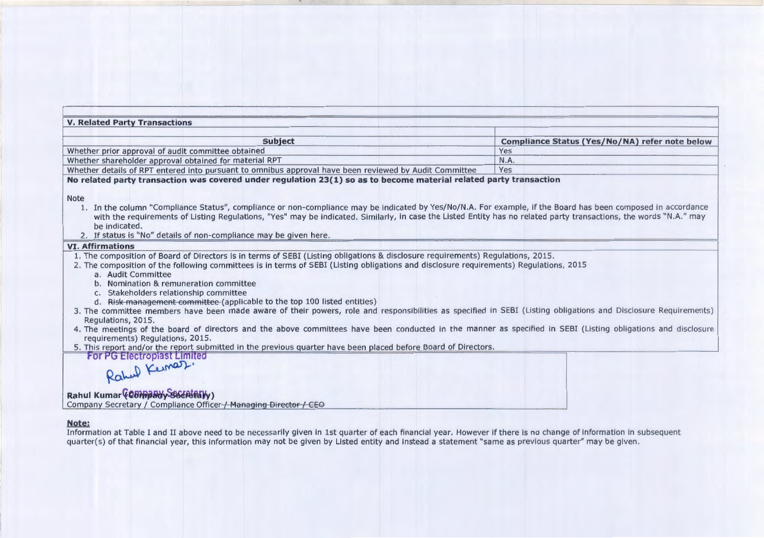| <b>V. Related Party Transactions</b>                                                                                                                                                                                                                                                                                                                                                                                                                                                                                                                                                                                                                                                                                                                                                                                                         |                                                |
|----------------------------------------------------------------------------------------------------------------------------------------------------------------------------------------------------------------------------------------------------------------------------------------------------------------------------------------------------------------------------------------------------------------------------------------------------------------------------------------------------------------------------------------------------------------------------------------------------------------------------------------------------------------------------------------------------------------------------------------------------------------------------------------------------------------------------------------------|------------------------------------------------|
| <b>Subject</b>                                                                                                                                                                                                                                                                                                                                                                                                                                                                                                                                                                                                                                                                                                                                                                                                                               | Compliance Status (Yes/No/NA) refer note below |
| Whether prior approval of audit committee obtained                                                                                                                                                                                                                                                                                                                                                                                                                                                                                                                                                                                                                                                                                                                                                                                           | Yes                                            |
| Whether shareholder approval obtained for material RPT                                                                                                                                                                                                                                                                                                                                                                                                                                                                                                                                                                                                                                                                                                                                                                                       | <b>N.A.</b>                                    |
| Whether details of RPT entered into pursuant to omnibus approval have been reviewed by Audit Committee                                                                                                                                                                                                                                                                                                                                                                                                                                                                                                                                                                                                                                                                                                                                       | Yes                                            |
| No related party transaction was covered under regulation 23(1) so as to become material related party transaction<br><b>Note</b><br>1. In the column "Compliance Status", compliance or non-compliance may be indicated by Yes/No/N.A. For example, if the Board has been composed in accordance<br>with the requirements of Listing Regulations, "Yes" may be indicated. Similarly, in case the Listed Entity has no related party transactions, the words "N.A." may<br>be indicated.                                                                                                                                                                                                                                                                                                                                                     |                                                |
| 2. If status is "No" details of non-compliance may be given here.                                                                                                                                                                                                                                                                                                                                                                                                                                                                                                                                                                                                                                                                                                                                                                            |                                                |
| <b>VI. Affirmations</b><br>1. The composition of Board of Directors is in terms of SEBI (Listing obligations & disclosure requirements) Regulations, 2015.                                                                                                                                                                                                                                                                                                                                                                                                                                                                                                                                                                                                                                                                                   |                                                |
| 2. The composition of the following committees is in terms of SEBI (Listing obligations and disclosure requirements) Regulations, 2015<br>a. Audit Committee<br>b. Nomination & remuneration committee<br>c. Stakeholders relationship committee<br>d. Risk management committee (applicable to the top 100 listed entities)<br>3. The committee members have been made aware of their powers, role and responsibilities as specified in SEBI (Listing obligations and Disclosure Requirements)<br>Regulations, 2015.<br>4. The meetings of the board of directors and the above committees have been conducted in the manner as specified in SEBI (Listing obligations and disclosure<br>requirements) Regulations, 2015.<br>5. This report and/or the report submitted in the previous quarter have been placed before Board of Directors. |                                                |
| For PG Electroplast Limited<br>Rahul Kemar.<br>Rahul Kumar (08) Pawy SSCRIEDLY)<br>Company Secretary / Compliance Officer / Managing Director / CEO                                                                                                                                                                                                                                                                                                                                                                                                                                                                                                                                                                                                                                                                                          |                                                |

**Note:**  Information at Table I and II above need to be necessarily given in 1st quarter of each financial year. However if there is no change of information in subsequent quarter(s) of that financia l year, this information may not be given by Listed entity and instead a statement "same as previous quarter" may be given.